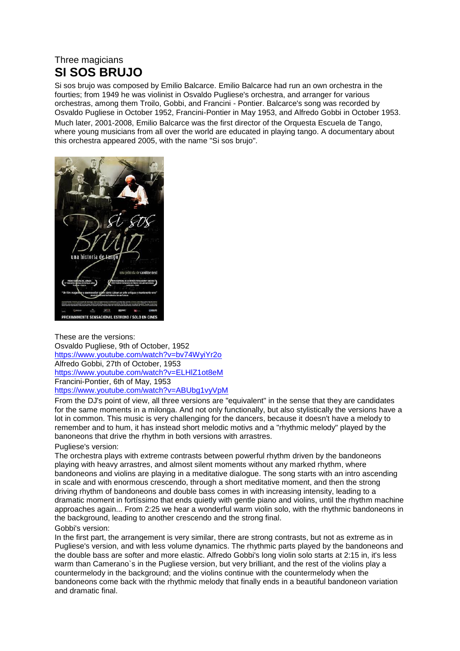## Three magicians **SI SOS BRUJO**

Si sos brujo was composed by Emilio Balcarce. Emilio Balcarce had run an own orchestra in the fourties; from 1949 he was violinist in Osvaldo Pugliese's orchestra, and arranger for various orchestras, among them Troilo, Gobbi, and Francini - Pontier. Balcarce's song was recorded by Osvaldo Pugliese in October 1952, Francini-Pontier in May 1953, and Alfredo Gobbi in October 1953. Much later, 2001-2008, Emilio Balcarce was the first director of the Orquesta Escuela de Tango, where young musicians from all over the world are educated in playing tango. A documentary about this orchestra appeared 2005, with the name "Si sos brujo".



These are the versions: Osvaldo Pugliese, 9th of October, 1952 [https://www.youtube.com/watch?v=bv74WyiYr2o](https://www.youtube.com/watch?v=bv74WyiYr2o&fbclid=IwAR1o_Yh4VPCG-bn9mjvXlfAMMbpyCGr2RTGG5F_PRnfxvdQwRtufLg0SSas) Alfredo Gobbi, 27th of October, 1953 [https://www.youtube.com/watch?v=ELHlZ1ot8eM](https://www.youtube.com/watch?v=ELHlZ1ot8eM&fbclid=IwAR3RiVfuAkKJwSr3EcCnMTyotdpHrClIdnXjGjQR02SwryMeohU0SM1EXO4) Francini-Pontier, 6th of May, 1953 [https://www.youtube.com/watch?v=ABUbg1vyVpM](https://www.youtube.com/watch?v=ABUbg1vyVpM&fbclid=IwAR3auapLVwhQqGp0r4SGWFJmof5f0UOC95MK4b5iAUhF2WWnifjMyhDSFnI)

From the DJ's point of view, all three versions are "equivalent" in the sense that they are candidates for the same moments in a milonga. And not only functionally, but also stylistically the versions have a lot in common. This music is very challenging for the dancers, because it doesn't have a melody to remember and to hum, it has instead short melodic motivs and a "rhythmic melody" played by the banoneons that drive the rhythm in both versions with arrastres.

## Pugliese's version:

The orchestra plays with extreme contrasts between powerful rhythm driven by the bandoneons playing with heavy arrastres, and almost silent moments without any marked rhythm, where bandoneons and violins are playing in a meditative dialogue. The song starts with an intro ascending in scale and with enormous crescendo, through a short meditative moment, and then the strong driving rhythm of bandoneons and double bass comes in with increasing intensity, leading to a dramatic moment in fortíssimo that ends quietly with gentle piano and violins, until the rhythm machine approaches again... From 2:25 we hear a wonderful warm violin solo, with the rhythmic bandoneons in the background, leading to another crescendo and the strong final.

## Gobbi's version:

In the first part, the arrangement is very similar, there are strong contrasts, but not as extreme as in Pugliese's version, and with less volume dynamics. The rhythmic parts played by the bandoneons and the double bass are softer and more elastic. Alfredo Gobbi's long violin solo starts at 2:15 in, it's less warm than Camerano`s in the Pugliese version, but very brilliant, and the rest of the violins play a countermelody in the background; and the violins continue with the countermelody when the bandoneons come back with the rhythmic melody that finally ends in a beautiful bandoneon variation and dramatic final.